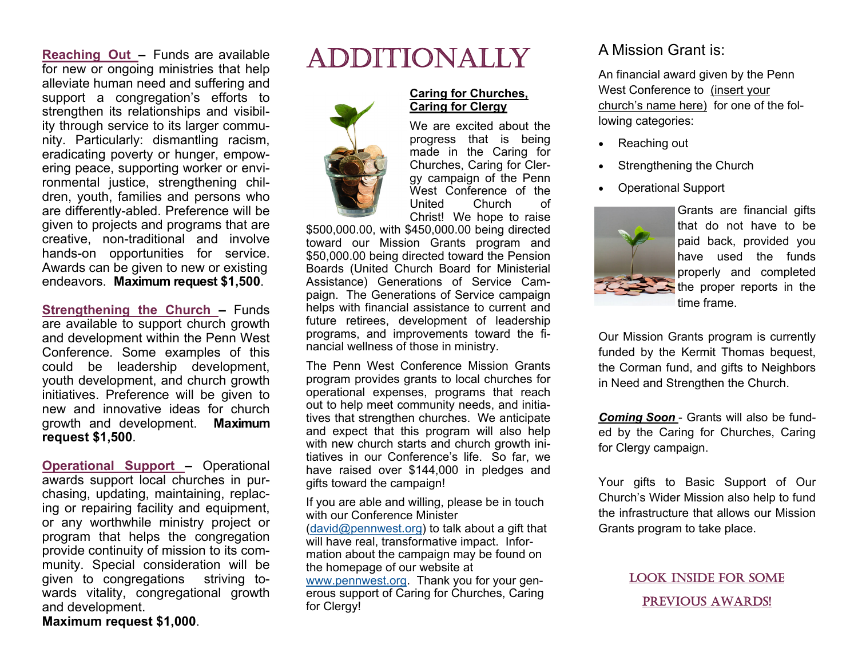**Reaching Out –** Funds are available for new or ongoing ministries that help alleviate human need and suffering and support a congregation's efforts to strengthen its relationships and visibility through service to its larger community. Particularly: dismantling racism, eradicating poverty or hunger, empowering peace, supporting worker or environmental justice, strengthening children, youth, families and persons who are differently-abled. Preference will be given to projects and programs that are creative, non-traditional and involve hands-on opportunities for service. Awards can be given to new or existing endeavors. **Maximum request \$1,500**.

**Strengthening the Church – Funds** are available to support church growth and development within the Penn West Conference. Some examples of this could be leadership development, youth development, and church growth initiatives. Preference will be given to new and innovative ideas for church growth and development. **Maximum request \$1,500**.

**Operational Support –** Operational awards support local churches in purchasing, updating, maintaining, replacing or repairing facility and equipment, or any worthwhile ministry project or program that helps the congregation provide continuity of mission to its community. Special consideration will be given to congregations striving towards vitality, congregational growth and development.

**Maximum request \$1,000**.

# ADDITIONALLY



#### **Caring for Churches, Caring for Clergy**

We are excited about the progress that is being made in the Caring for Churches, Caring for Clergy campaign of the Penn West Conference of the United Church of Christ! We hope to raise

\$500,000.00, with \$450,000.00 being directed toward our Mission Grants program and \$50,000.00 being directed toward the Pension Boards (United Church Board for Ministerial Assistance) Generations of Service Campaign. The Generations of Service campaign helps with financial assistance to current and future retirees, development of leadership programs, and improvements toward the financial wellness of those in ministry.

The Penn West Conference Mission Grants program provides grants to local churches for operational expenses, programs that reach out to help meet community needs, and initiatives that strengthen churches. We anticipate and expect that this program will also help with new church starts and church growth initiatives in our Conference's life. So far, we have raised over \$144,000 in pledges and gifts toward the campaign!

If you are able and willing, please be in touch with our Conference Minister (david@pennwest.org) to talk about a gift that will have real, transformative impact. Information about the campaign may be found on the homepage of our website at www.pennwest.org. Thank you for your generous support of Caring for Churches, Caring for Clergy!

## A Mission Grant is:

An financial award given by the Penn West Conference to (insert your church's name here) for one of the following categories:

- Reaching out
- Strengthening the Church
- Operational Support



Grants are financial gifts that do not have to be paid back, provided you have used the funds properly and completed the proper reports in the time frame.

Our Mission Grants program is currently funded by the Kermit Thomas bequest, the Corman fund, and gifts to Neighbors in Need and Strengthen the Church.

*Coming Soon* - Grants will also be funded by the Caring for Churches, Caring for Clergy campaign.

Your gifts to Basic Support of Our Church's Wider Mission also help to fund the infrastructure that allows our Mission Grants program to take place.